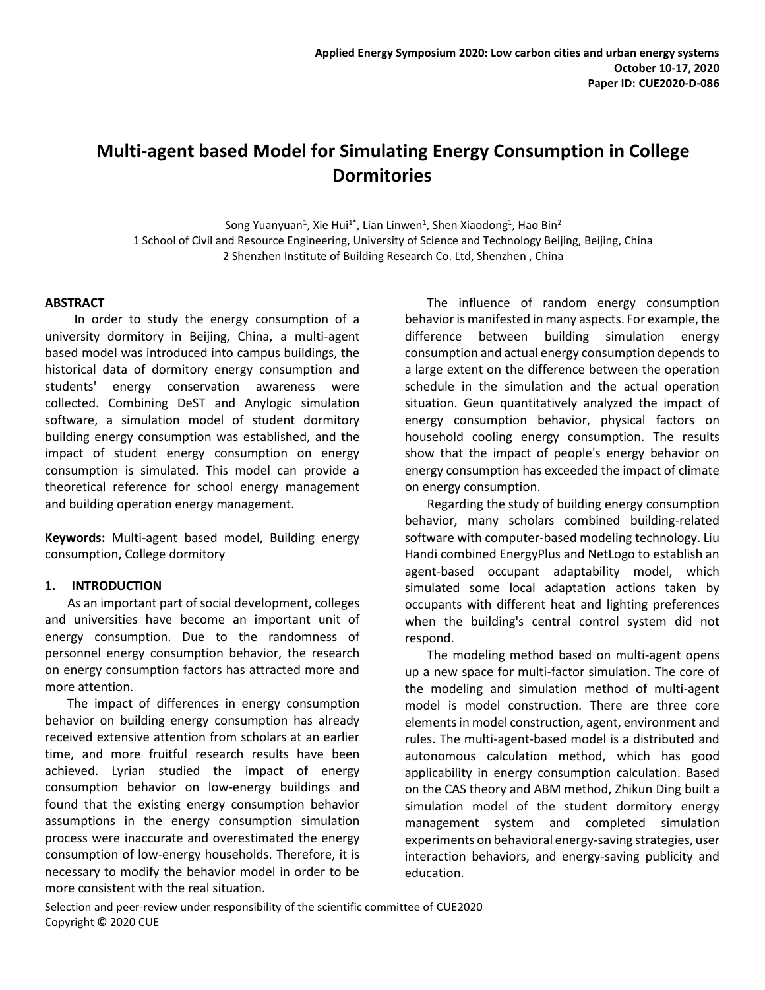# **Multi-agent based Model for Simulating Energy Consumption in College Dormitories**

Song Yuanyuan<sup>1</sup>, Xie Hui<sup>1\*</sup>, Lian Linwen<sup>1</sup>, Shen Xiaodong<sup>1</sup>, Hao Bin<sup>2</sup> 1 School of Civil and Resource Engineering, University of Science and Technology Beijing, Beijing, China 2 Shenzhen Institute of Building Research Co. Ltd, Shenzhen , China

## **ABSTRACT**

In order to study the energy consumption of a university dormitory in Beijing, China, a multi-agent based model was introduced into campus buildings, the historical data of dormitory energy consumption and students' energy conservation awareness were collected. Combining DeST and Anylogic simulation software, a simulation model of student dormitory building energy consumption was established, and the impact of student energy consumption on energy consumption is simulated. This model can provide a theoretical reference for school energy management and building operation energy management.

**Keywords:** Multi-agent based model, Building energy consumption, College dormitory

# **1. INTRODUCTION**

As an important part of social development, colleges and universities have become an important unit of energy consumption. Due to the randomness of personnel energy consumption behavior, the research on energy consumption factors has attracted more and more attention.

The impact of differences in energy consumption behavior on building energy consumption has already received extensive attention from scholars at an earlier time, and more fruitful research results have been achieved. Lyrian studied the impact of energy consumption behavior on low-energy buildings and found that the existing energy consumption behavior assumptions in the energy consumption simulation process were inaccurate and overestimated the energy consumption of low-energy households. Therefore, it is necessary to modify the behavior model in order to be more consistent with the real situation.

The influence of random energy consumption behavior is manifested in many aspects. For example, the difference between building simulation energy consumption and actual energy consumption depends to a large extent on the difference between the operation schedule in the simulation and the actual operation situation. Geun quantitatively analyzed the impact of energy consumption behavior, physical factors on household cooling energy consumption. The results show that the impact of people's energy behavior on energy consumption has exceeded the impact of climate on energy consumption.

Regarding the study of building energy consumption behavior, many scholars combined building-related software with computer-based modeling technology. Liu Handi combined EnergyPlus and NetLogo to establish an agent-based occupant adaptability model, which simulated some local adaptation actions taken by occupants with different heat and lighting preferences when the building's central control system did not respond.

The modeling method based on multi-agent opens up a new space for multi-factor simulation. The core of the modeling and simulation method of multi-agent model is model construction. There are three core elements in model construction, agent, environment and rules. The multi-agent-based model is a distributed and autonomous calculation method, which has good applicability in energy consumption calculation. Based on the CAS theory and ABM method, Zhikun Ding built a simulation model of the student dormitory energy management system and completed simulation experiments on behavioral energy-saving strategies, user interaction behaviors, and energy-saving publicity and education.

Selection and peer-review under responsibility of the scientific committee of CUE2020 Copyright © 2020 CUE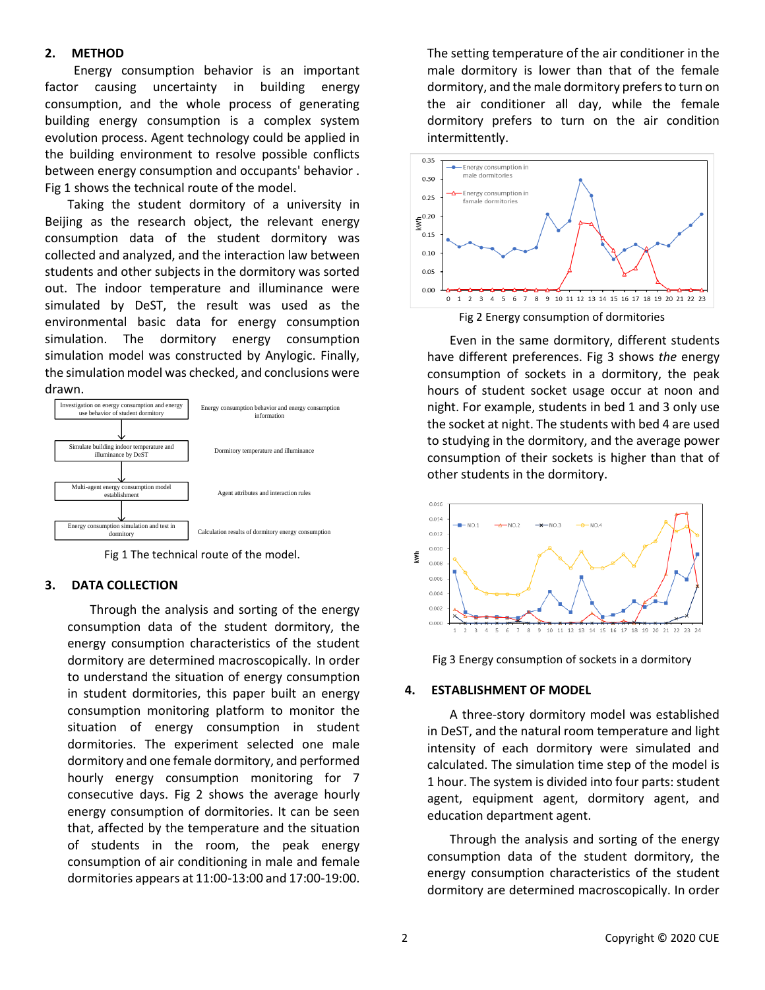## **2. METHOD**

Energy consumption behavior is an important factor causing uncertainty in building energy consumption, and the whole process of generating building energy consumption is a complex system evolution process. Agent technology could be applied in the building environment to resolve possible conflicts between energy consumption and occupants' behavior . Fig 1 shows the technical route of the model.

Taking the student dormitory of a university in Beijing as the research object, the relevant energy consumption data of the student dormitory was collected and analyzed, and the interaction law between students and other subjects in the dormitory was sorted out. The indoor temperature and illuminance were simulated by DeST, the result was used as the environmental basic data for energy consumption simulation. The dormitory energy consumption simulation model was constructed by Anylogic. Finally, the simulation model was checked, and conclusions were drawn.



Fig 1 The technical route of the model.

## **3. DATA COLLECTION**

Through the analysis and sorting of the energy consumption data of the student dormitory, the energy consumption characteristics of the student dormitory are determined macroscopically. In order to understand the situation of energy consumption in student dormitories, this paper built an energy consumption monitoring platform to monitor the situation of energy consumption in student dormitories. The experiment selected one male dormitory and one female dormitory, and performed hourly energy consumption monitoring for 7 consecutive days. Fig 2 shows the average hourly energy consumption of dormitories. It can be seen that, affected by the temperature and the situation of students in the room, the peak energy consumption of air conditioning in male and female dormitories appears at 11:00-13:00 and 17:00-19:00.

The setting temperature of the air conditioner in the male dormitory is lower than that of the female dormitory, and the male dormitory prefers to turn on the air conditioner all day, while the female dormitory prefers to turn on the air condition intermittently.



Even in the same dormitory, different students have different preferences. Fig 3 shows *the* energy consumption of sockets in a dormitory, the peak hours of student socket usage occur at noon and night. For example, students in bed 1 and 3 only use the socket at night. The students with bed 4 are used to studying in the dormitory, and the average power consumption of their sockets is higher than that of other students in the dormitory.





# **4. ESTABLISHMENT OF MODEL**

A three-story dormitory model was established in DeST, and the natural room temperature and light intensity of each dormitory were simulated and calculated. The simulation time step of the model is 1 hour. The system is divided into four parts: student agent, equipment agent, dormitory agent, and education department agent.

Through the analysis and sorting of the energy consumption data of the student dormitory, the energy consumption characteristics of the student dormitory are determined macroscopically. In order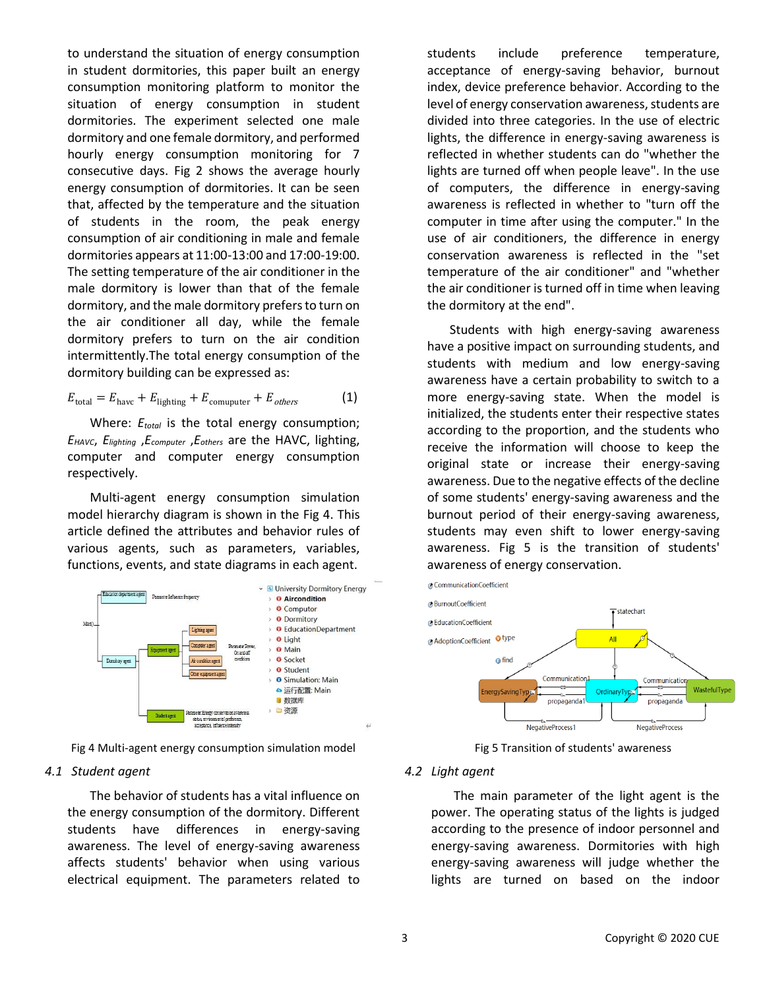to understand the situation of energy consumption in student dormitories, this paper built an energy consumption monitoring platform to monitor the situation of energy consumption in student dormitories. The experiment selected one male dormitory and one female dormitory, and performed hourly energy consumption monitoring for 7 consecutive days. Fig 2 shows the average hourly energy consumption of dormitories. It can be seen that, affected by the temperature and the situation of students in the room, the peak energy consumption of air conditioning in male and female dormitories appears at 11:00-13:00 and 17:00-19:00. The setting temperature of the air conditioner in the male dormitory is lower than that of the female dormitory, and the male dormitory prefers to turn on the air conditioner all day, while the female dormitory prefers to turn on the air condition intermittently.The total energy consumption of the dormitory building can be expressed as:

$$
E_{\text{total}} = E_{\text{havc}} + E_{\text{lighting}} + E_{\text{computer}} + E_{\text{others}} \tag{1}
$$

Where:  $E_{total}$  is the total energy consumption; *EHAVC*, *Elighting* ,*Ecomputer* ,*Eothers* are the HAVC, lighting, computer and computer energy consumption respectively.

Multi-agent energy consumption simulation model hierarchy diagram is shown in the Fig 4. This article defined the attributes and behavior rules of various agents, such as parameters, variables, functions, events, and state diagrams in each agent.



Fig 4 Multi-agent energy consumption simulation model

## *4.1 Student agent*

The behavior of students has a vital influence on the energy consumption of the dormitory. Different students have differences in energy-saving awareness. The level of energy-saving awareness affects students' behavior when using various electrical equipment. The parameters related to students include preference temperature, acceptance of energy-saving behavior, burnout index, device preference behavior. According to the level of energy conservation awareness, students are divided into three categories. In the use of electric lights, the difference in energy-saving awareness is reflected in whether students can do "whether the lights are turned off when people leave". In the use of computers, the difference in energy-saving awareness is reflected in whether to "turn off the computer in time after using the computer." In the use of air conditioners, the difference in energy conservation awareness is reflected in the "set temperature of the air conditioner" and "whether the air conditioner is turned off in time when leaving the dormitory at the end".

Students with high energy-saving awareness have a positive impact on surrounding students, and students with medium and low energy-saving awareness have a certain probability to switch to a more energy-saving state. When the model is initialized, the students enter their respective states according to the proportion, and the students who receive the information will choose to keep the original state or increase their energy-saving awareness. Due to the negative effects of the decline of some students' energy-saving awareness and the burnout period of their energy-saving awareness, students may even shift to lower energy-saving awareness. Fig 5 is the transition of students' awareness of energy conservation.



Fig 5 Transition of students' awareness

#### *4.2 Light agent*

The main parameter of the light agent is the power. The operating status of the lights is judged according to the presence of indoor personnel and energy-saving awareness. Dormitories with high energy-saving awareness will judge whether the lights are turned on based on the indoor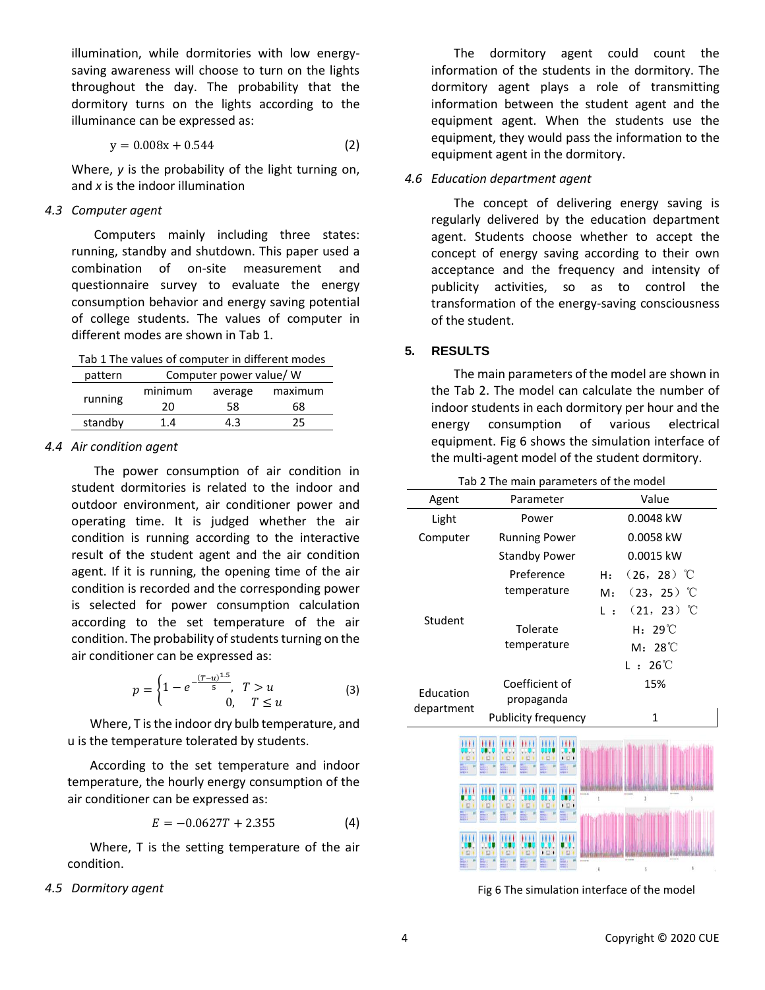illumination, while dormitories with low energysaving awareness will choose to turn on the lights throughout the day. The probability that the dormitory turns on the lights according to the illuminance can be expressed as:

$$
y = 0.008x + 0.544
$$
 (2)

Where, *y* is the probability of the light turning on, and *x* is the indoor illumination

## *4.3 Computer agent*

Computers mainly including three states: running, standby and shutdown. This paper used a combination of on-site measurement and questionnaire survey to evaluate the energy consumption behavior and energy saving potential of college students. The values of computer in different modes are shown in Tab 1.

Tab 1 The values of computer in different modes

| pattern | Computer power value/ W |         |         |  |  |
|---------|-------------------------|---------|---------|--|--|
|         | minimum                 | average | maximum |  |  |
| running | 20                      | 58      | 68      |  |  |
| standby | 14                      | 1.3     | 75      |  |  |

## *4.4 Air condition agent*

The power consumption of air condition in student dormitories is related to the indoor and outdoor environment, air conditioner power and operating time. It is judged whether the air condition is running according to the interactive result of the student agent and the air condition agent. If it is running, the opening time of the air condition is recorded and the corresponding power is selected for power consumption calculation according to the set temperature of the air condition. The probability of students turning on the air conditioner can be expressed as:

$$
p = \begin{cases} 1 - e^{-\frac{(T-u)^{1.5}}{5}}, & T > u \\ 0, & T \le u \end{cases}
$$
 (3)

Where, T is the indoor dry bulb temperature, and u is the temperature tolerated by students.

According to the set temperature and indoor temperature, the hourly energy consumption of the air conditioner can be expressed as:

$$
E = -0.0627T + 2.355\tag{4}
$$

Where, T is the setting temperature of the air condition.

#### *4.5 Dormitory agent*

The dormitory agent could count the information of the students in the dormitory. The dormitory agent plays a role of transmitting information between the student agent and the equipment agent. When the students use the equipment, they would pass the information to the equipment agent in the dormitory.

## *4.6 Education department agent*

The concept of delivering energy saving is regularly delivered by the education department agent. Students choose whether to accept the concept of energy saving according to their own acceptance and the frequency and intensity of publicity activities, so as to control the transformation of the energy-saving consciousness of the student.

# **5. RESULTS**

The main parameters of the model are shown in the Tab 2. The model can calculate the number of indoor students in each dormitory per hour and the energy consumption of various electrical equipment. Fig 6 shows the simulation interface of the multi-agent model of the student dormitory.

| Tab 2 The main parameters of the model |                      |                                         |  |  |  |  |  |
|----------------------------------------|----------------------|-----------------------------------------|--|--|--|--|--|
| Agent                                  | Parameter            | Value                                   |  |  |  |  |  |
| Light                                  | Power                | 0.0048 kW                               |  |  |  |  |  |
| Computer                               | <b>Running Power</b> | 0.0058 kW                               |  |  |  |  |  |
|                                        | <b>Standby Power</b> | 0.0015 kW                               |  |  |  |  |  |
|                                        | Preference           | $(26, 28)$ °C<br>H:                     |  |  |  |  |  |
|                                        | temperature          | $(23, 25)$ °C<br>M:                     |  |  |  |  |  |
| Student                                |                      | $(21, 23)$ °C<br>$\mathsf{L}$ :         |  |  |  |  |  |
|                                        | Tolerate             | $29^{\circ}$<br>н.                      |  |  |  |  |  |
|                                        | temperature          | $M: 28^{\circ}$                         |  |  |  |  |  |
|                                        |                      | $26^{\circ}$<br>$\lfloor \cdot \rfloor$ |  |  |  |  |  |
| Education                              | Coefficient of       | 15%                                     |  |  |  |  |  |
| department                             | propaganda           |                                         |  |  |  |  |  |
|                                        | Publicity frequency  | $\mathbf{1}$                            |  |  |  |  |  |
|                                        |                      |                                         |  |  |  |  |  |
|                                        |                      |                                         |  |  |  |  |  |
|                                        |                      | å<br>S.                                 |  |  |  |  |  |

Fig 6 The simulation interface of the model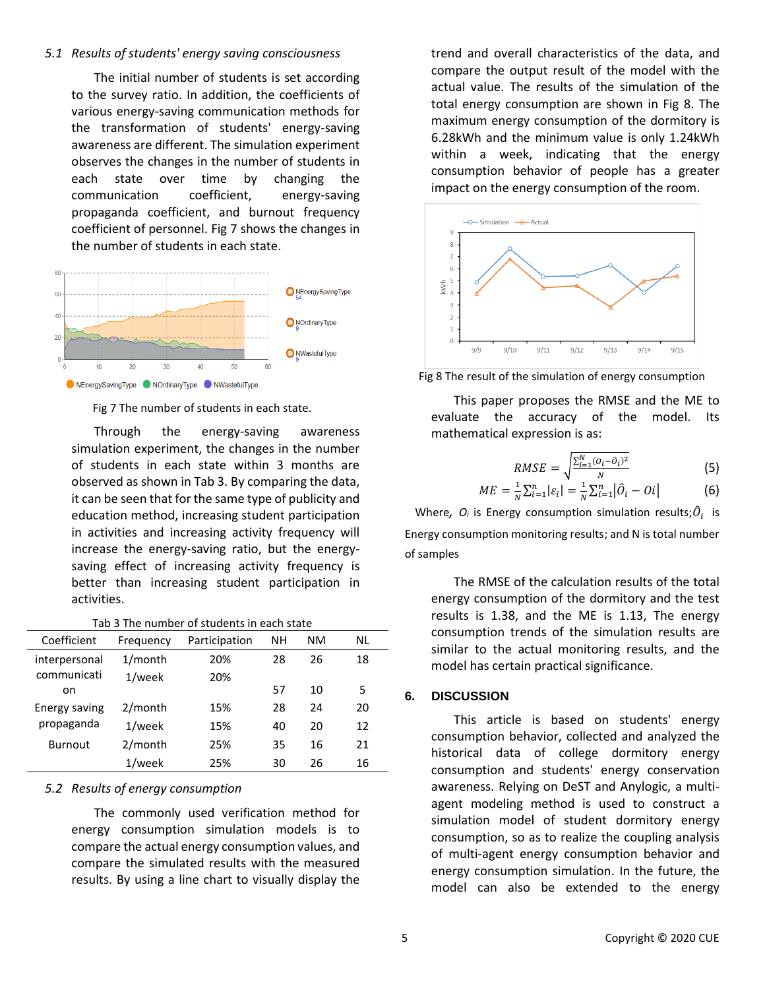## *5.1 Results of students' energy saving consciousness*

The initial number of students is set according to the survey ratio. In addition, the coefficients of various energy-saving communication methods for the transformation of students' energy-saving awareness are different. The simulation experiment observes the changes in the number of students in each state over time by changing the communication coefficient, energy-saving propaganda coefficient, and burnout frequency coefficient of personnel. Fig 7 shows the changes in the number of students in each state.



Fig 7 The number of students in each state.

Through the energy-saving awareness simulation experiment, the changes in the number of students in each state within 3 months are observed as shown in Tab 3. By comparing the data, it can be seen that for the same type of publicity and education method, increasing student participation in activities and increasing activity frequency will increase the energy-saving ratio, but the energysaving effect of increasing activity frequency is better than increasing student participation in activities.

|--|

| Coefficient    | Frequency  | Participation | NΗ | NΜ | NL |
|----------------|------------|---------------|----|----|----|
| interpersonal  | $1/m$ onth | 20%           | 28 | 26 | 18 |
| communicati    | $1$ /week  | 20%           |    |    |    |
| on             |            |               | 57 | 10 | 5  |
| Energy saving  | $2/m$ onth | 15%           | 28 | 24 | 20 |
| propaganda     | $1$ /week  | 15%           | 40 | 20 | 12 |
| <b>Burnout</b> | $2/m$ onth | 25%           | 35 | 16 | 21 |
|                | 1/week     | 25%           | 30 | 26 | 16 |

#### *5.2 Results of energy consumption*

The commonly used verification method for energy consumption simulation models is to compare the actual energy consumption values, and compare the simulated results with the measured results. By using a line chart to visually display the trend and overall characteristics of the data, and compare the output result of the model with the actual value. The results of the simulation of the total energy consumption are shown in Fig 8. The maximum energy consumption of the dormitory is 6.28kWh and the minimum value is only 1.24kWh within a week, indicating that the energy consumption behavior of people has a greater impact on the energy consumption of the room.



Fig 8 The result of the simulation of energy consumption

This paper proposes the RMSE and the ME to evaluate the accuracy of the model. Its mathematical expression is as:

$$
RMSE = \sqrt{\frac{\sum_{i=1}^{N} (O_i - \hat{O}_i)^2}{N}}
$$
(5)

$$
ME = \frac{1}{N} \sum_{i=1}^{n} |\varepsilon_{i}| = \frac{1}{N} \sum_{i=1}^{n} |\hat{O}_{i} - Oi|
$$
 (6)

Where,  $O_i$  is Energy consumption simulation results; $\widehat{O}_i$  is Energy consumption monitoring results; and N is total number of samples

The RMSE of the calculation results of the total energy consumption of the dormitory and the test results is 1.38, and the ME is 1.13, The energy consumption trends of the simulation results are similar to the actual monitoring results, and the model has certain practical significance.

## **6. DISCUSSION**

This article is based on students' energy consumption behavior, collected and analyzed the historical data of college dormitory energy consumption and students' energy conservation awareness. Relying on DeST and Anylogic, a multiagent modeling method is used to construct a simulation model of student dormitory energy consumption, so as to realize the coupling analysis of multi-agent energy consumption behavior and energy consumption simulation. In the future, the model can also be extended to the energy